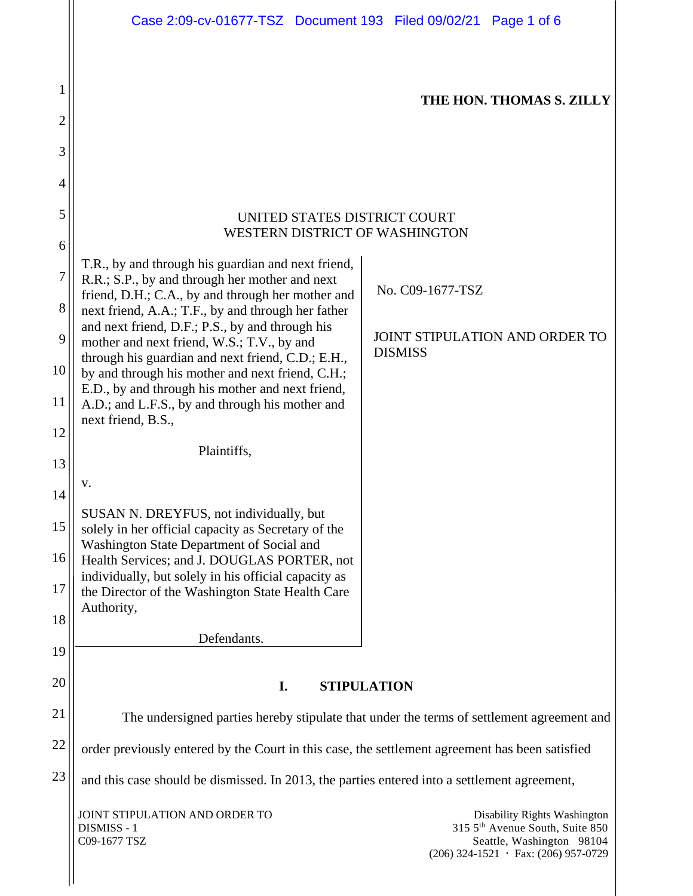|                            | Case 2:09-cv-01677-TSZ Document 193 Filed 09/02/21 Page 1 of 6                                                                                                                                                                                                                                                       |                                                                                                                                          |  |
|----------------------------|----------------------------------------------------------------------------------------------------------------------------------------------------------------------------------------------------------------------------------------------------------------------------------------------------------------------|------------------------------------------------------------------------------------------------------------------------------------------|--|
| 1<br>$\overline{c}$<br>3   |                                                                                                                                                                                                                                                                                                                      | THE HON. THOMAS S. ZILLY                                                                                                                 |  |
| 4                          |                                                                                                                                                                                                                                                                                                                      |                                                                                                                                          |  |
| 5<br>6                     | UNITED STATES DISTRICT COURT<br>WESTERN DISTRICT OF WASHINGTON                                                                                                                                                                                                                                                       |                                                                                                                                          |  |
| 7<br>8<br>9                | T.R., by and through his guardian and next friend,<br>R.R.; S.P., by and through her mother and next<br>friend, D.H.; C.A., by and through her mother and<br>next friend, A.A.; T.F., by and through her father<br>and next friend, D.F.; P.S., by and through his<br>mother and next friend, W.S.; T.V., by and     | No. C09-1677-TSZ<br><b>JOINT STIPULATION AND ORDER TO</b><br><b>DISMISS</b>                                                              |  |
| 10                         | through his guardian and next friend, C.D.; E.H.,<br>by and through his mother and next friend, C.H.;<br>E.D., by and through his mother and next friend,                                                                                                                                                            |                                                                                                                                          |  |
| 11                         | A.D.; and L.F.S., by and through his mother and<br>next friend, B.S.,                                                                                                                                                                                                                                                |                                                                                                                                          |  |
| 12<br>13                   | Plaintiffs,<br>v.                                                                                                                                                                                                                                                                                                    |                                                                                                                                          |  |
| 14<br>15<br>16<br>17<br>18 | SUSAN N. DREYFUS, not individually, but<br>solely in her official capacity as Secretary of the<br>Washington State Department of Social and<br>Health Services; and J. DOUGLAS PORTER, not<br>individually, but solely in his official capacity as<br>the Director of the Washington State Health Care<br>Authority, |                                                                                                                                          |  |
| 19                         | Defendants.                                                                                                                                                                                                                                                                                                          |                                                                                                                                          |  |
| 20                         | <b>STIPULATION</b><br>I.                                                                                                                                                                                                                                                                                             |                                                                                                                                          |  |
| 21                         | The undersigned parties hereby stipulate that under the terms of settlement agreement and                                                                                                                                                                                                                            |                                                                                                                                          |  |
| 22                         | order previously entered by the Court in this case, the settlement agreement has been satisfied                                                                                                                                                                                                                      |                                                                                                                                          |  |
| 23                         | and this case should be dismissed. In 2013, the parties entered into a settlement agreement,                                                                                                                                                                                                                         |                                                                                                                                          |  |
|                            | JOINT STIPULATION AND ORDER TO<br>DISMISS - 1<br>C09-1677 TSZ                                                                                                                                                                                                                                                        | Disability Rights Washington<br>315 5th Avenue South, Suite 850<br>Seattle, Washington 98104<br>$(206)$ 324-1521 · Fax: $(206)$ 957-0729 |  |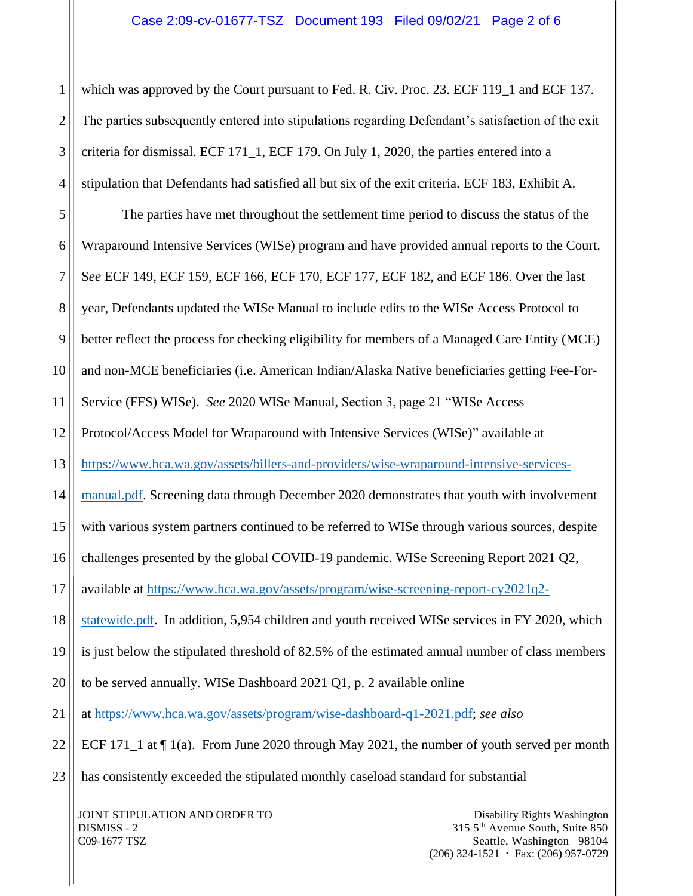## Case 2:09-cv-01677-TSZ Document 193 Filed 09/02/21 Page 2 of 6

1 2 3 4 which was approved by the Court pursuant to Fed. R. Civ. Proc. 23. ECF 119\_1 and ECF 137. The parties subsequently entered into stipulations regarding Defendant's satisfaction of the exit criteria for dismissal. ECF 171\_1, ECF 179. On July 1, 2020, the parties entered into a stipulation that Defendants had satisfied all but six of the exit criteria. ECF 183, Exhibit A.

5 6 7 8 9 10 11 12 13 14 15 16 17 18 19 20 21 22 23 The parties have met throughout the settlement time period to discuss the status of the Wraparound Intensive Services (WISe) program and have provided annual reports to the Court. S*ee* ECF 149, ECF 159, ECF 166, ECF 170, ECF 177, ECF 182, and ECF 186. Over the last year, Defendants updated the WISe Manual to include edits to the WISe Access Protocol to better reflect the process for checking eligibility for members of a Managed Care Entity (MCE) and non-MCE beneficiaries (i.e. American Indian/Alaska Native beneficiaries getting Fee-For-Service (FFS) WISe). *See* 2020 WISe Manual, Section 3, page 21 "WISe Access Protocol/Access Model for Wraparound with Intensive Services (WISe)" available at [https://www.hca.wa.gov/assets/billers-and-providers/wise-wraparound-intensive-services](https://www.hca.wa.gov/assets/billers-and-providers/wise-wraparound-intensive-services-manual.pdf)[manual.pdf.](https://www.hca.wa.gov/assets/billers-and-providers/wise-wraparound-intensive-services-manual.pdf) Screening data through December 2020 demonstrates that youth with involvement with various system partners continued to be referred to WISe through various sources, despite challenges presented by the global COVID-19 pandemic. WISe Screening Report 2021 Q2, available at [https://www.hca.wa.gov/assets/program/wise-screening-report-cy2021q2](https://www.hca.wa.gov/assets/program/wise-screening-report-cy2021q2-statewide.pdf) [statewide.pdf.](https://www.hca.wa.gov/assets/program/wise-screening-report-cy2021q2-statewide.pdf) In addition, 5,954 children and youth received WISe services in FY 2020, which is just below the stipulated threshold of 82.5% of the estimated annual number of class members to be served annually. WISe Dashboard 2021 Q1, p. 2 available online at [https://www.hca.wa.gov/assets/program/wise-dashboard-q1-2021.pdf;](https://www.hca.wa.gov/assets/program/wise-dashboard-q1-2021.pdf) *see also* ECF 171\_1 at  $\P$  1(a). From June 2020 through May 2021, the number of youth served per month has consistently exceeded the stipulated monthly caseload standard for substantial

JOINT STIPULATION AND ORDER TO DISMISS - 2 C09-1677 TSZ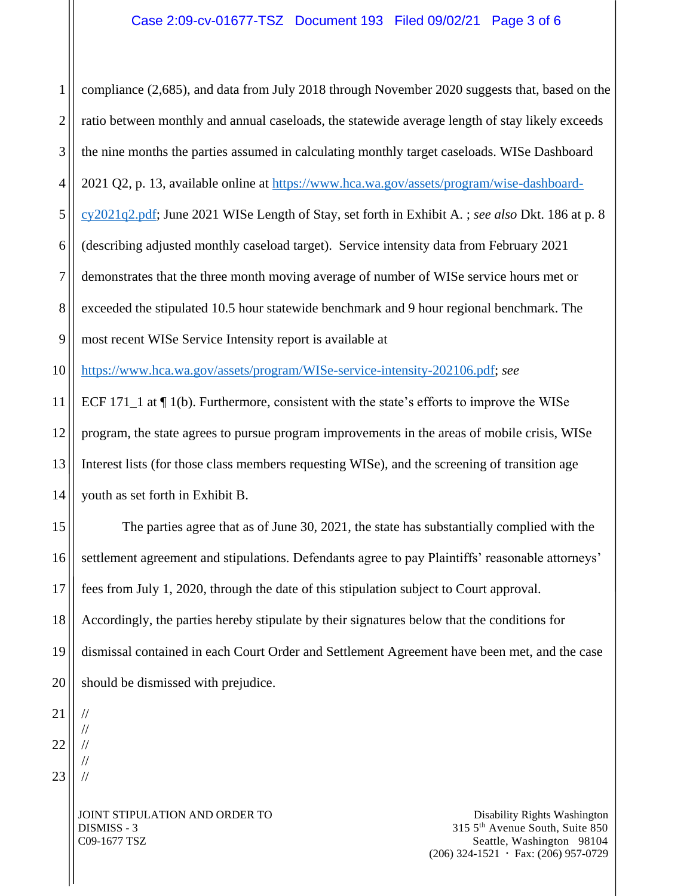## Case 2:09-cv-01677-TSZ Document 193 Filed 09/02/21 Page 3 of 6

1 2 3 4 5 6 7 8 9 10 11 12 13 14 15 16 17 18 19 20 21 22 compliance (2,685), and data from July 2018 through November 2020 suggests that, based on the ratio between monthly and annual caseloads, the statewide average length of stay likely exceeds the nine months the parties assumed in calculating monthly target caseloads. WISe Dashboard 2021 Q2, p. 13, available online at [https://www.hca.wa.gov/assets/program/wise-dashboard](https://www.hca.wa.gov/assets/program/wise-dashboard-cy2021q2.pdf)[cy2021q2.pdf;](https://www.hca.wa.gov/assets/program/wise-dashboard-cy2021q2.pdf) June 2021 WISe Length of Stay, set forth in Exhibit A. ; *see also* Dkt. 186 at p. 8 (describing adjusted monthly caseload target). Service intensity data from February 2021 demonstrates that the three month moving average of number of WISe service hours met or exceeded the stipulated 10.5 hour statewide benchmark and 9 hour regional benchmark. The most recent WISe Service Intensity report is available at [https://www.hca.wa.gov/assets/program/WISe-service-intensity-202106.pdf;](https://www.hca.wa.gov/assets/program/WISe-service-intensity-202106.pdf) *see*  ECF 171 $\perp$  1 at  $\P$  1(b). Furthermore, consistent with the state's efforts to improve the WISe program, the state agrees to pursue program improvements in the areas of mobile crisis, WISe Interest lists (for those class members requesting WISe), and the screening of transition age youth as set forth in Exhibit B. The parties agree that as of June 30, 2021, the state has substantially complied with the settlement agreement and stipulations. Defendants agree to pay Plaintiffs' reasonable attorneys' fees from July 1, 2020, through the date of this stipulation subject to Court approval. Accordingly, the parties hereby stipulate by their signatures below that the conditions for dismissal contained in each Court Order and Settlement Agreement have been met, and the case should be dismissed with prejudice. // // //

23

// //

JOINT STIPULATION AND ORDER TO DISMISS - 3 C09-1677 TSZ

Disability Rights Washington 315 5th Avenue South, Suite 850 Seattle, Washington 98104  $(206)$  324-1521 · Fax:  $(206)$  957-0729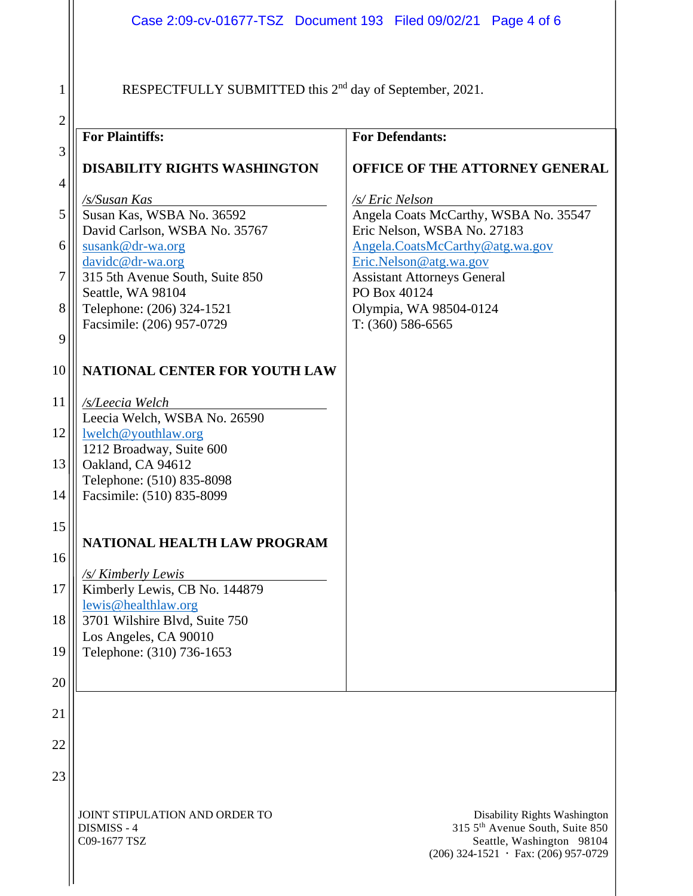RESPECTFULLY SUBMITTED this 2<sup>nd</sup> day of September, 2021.

| ٠           |  |
|-------------|--|
| ı<br>۰,     |  |
|             |  |
| r           |  |
| I<br>I<br>I |  |
|             |  |

1

| $\mathbf{2}$   |                                                     |                                                              |
|----------------|-----------------------------------------------------|--------------------------------------------------------------|
|                | <b>For Plaintiffs:</b>                              | <b>For Defendants:</b>                                       |
| 3              | <b>DISABILITY RIGHTS WASHINGTON</b>                 | OFFICE OF THE ATTORNEY GENERAL                               |
| $\overline{4}$ |                                                     |                                                              |
| 5              | /s/Susan Kas<br>Susan Kas, WSBA No. 36592           | /s/ Eric Nelson<br>Angela Coats McCarthy, WSBA No. 35547     |
|                | David Carlson, WSBA No. 35767                       | Eric Nelson, WSBA No. 27183                                  |
| 6              | susank@dr-wa.org                                    | Angela.CoatsMcCarthy@atg.wa.gov                              |
| 7              | davidc@dr-wa.org<br>315 5th Avenue South, Suite 850 | Eric.Nelson@atg.wa.gov<br><b>Assistant Attorneys General</b> |
|                | Seattle, WA 98104                                   | PO Box 40124                                                 |
| 8              | Telephone: (206) 324-1521                           | Olympia, WA 98504-0124                                       |
| 9              | Facsimile: (206) 957-0729                           | $T: (360) 586-6565$                                          |
|                |                                                     |                                                              |
| 10             | NATIONAL CENTER FOR YOUTH LAW                       |                                                              |
| 11             | /s/Leecia Welch                                     |                                                              |
|                | Leecia Welch, WSBA No. 26590                        |                                                              |
| 12             | lwelch@youthlaw.org                                 |                                                              |
| 13             | 1212 Broadway, Suite 600<br>Oakland, CA 94612       |                                                              |
|                | Telephone: (510) 835-8098                           |                                                              |
| 14             | Facsimile: (510) 835-8099                           |                                                              |
| 15             |                                                     |                                                              |
|                | NATIONAL HEALTH LAW PROGRAM                         |                                                              |
| 16             |                                                     |                                                              |
| 17             | /s/ Kimberly Lewis<br>Kimberly Lewis, CB No. 144879 |                                                              |
|                | lewis@healthlaw.org                                 |                                                              |
| 18             | 3701 Wilshire Blvd, Suite 750                       |                                                              |
| 19             | Los Angeles, CA 90010<br>Telephone: (310) 736-1653  |                                                              |
|                |                                                     |                                                              |
| 20             |                                                     |                                                              |
| 21             |                                                     |                                                              |
|                |                                                     |                                                              |
| 22             |                                                     |                                                              |
| 23             |                                                     |                                                              |
|                |                                                     |                                                              |
|                | JOINT STIPULATION AND ORDER TO                      | Disability Rights Washington                                 |

DISMISS - 4 C09-1677 TSZ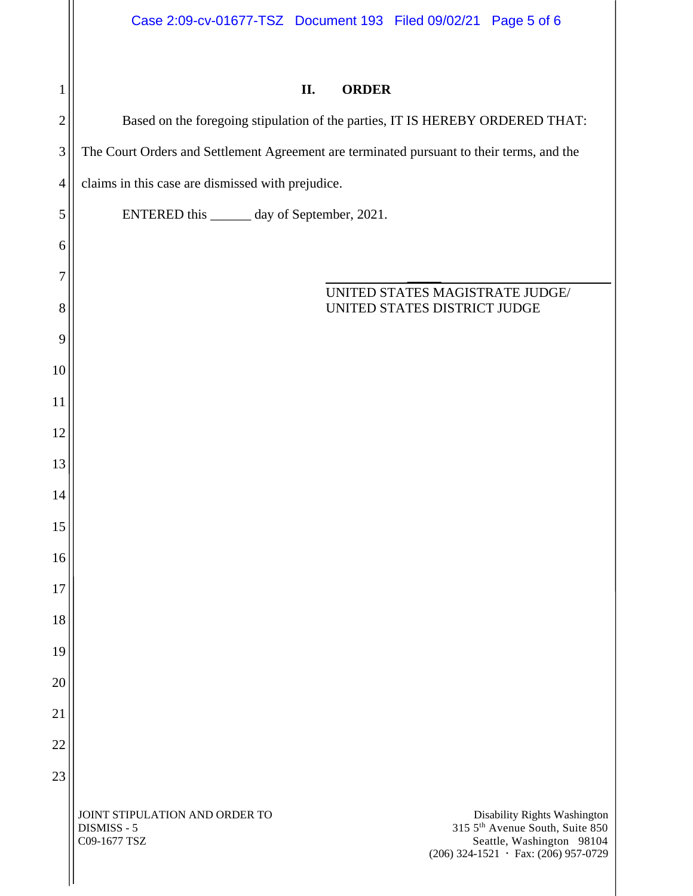| <b>ORDER</b> |
|--------------|
|              |

JOINT STIPULATION AND ORDER TO DISMISS - 5 C09-1677 TSZ Disability Rights Washington 315 5th Avenue South, Suite 850 Seattle, Washington 98104  $(206)$  324-1521 · Fax:  $(206)$  957-0729 1 2 3 4 5 6 7 8 9 10 11 12 13 14 15 16 17 18 19 20 21 22 23 Based on the foregoing stipulation of the parties, IT IS HEREBY ORDERED THAT: The Court Orders and Settlement Agreement are terminated pursuant to their terms, and the claims in this case are dismissed with prejudice. ENTERED this \_\_\_\_\_\_ day of September, 2021.  $\frac{1}{2}$ UNITED STATES MAGISTRATE JUDGE/ UNITED STATES DISTRICT JUDGE